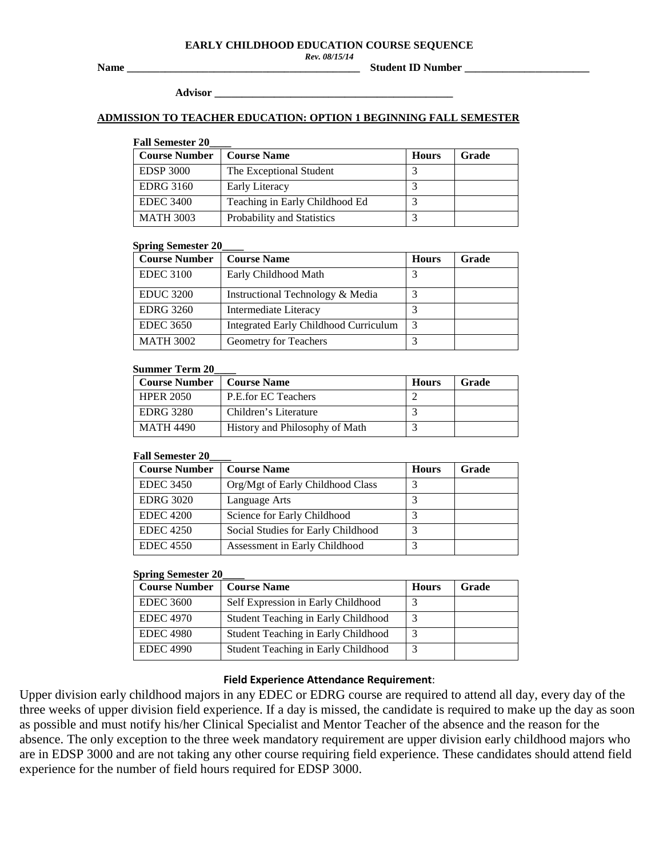#### **EARLY CHILDHOOD EDUCATION COURSE SEQUENCE**

*Rev. 08/15/14*

**Name \_\_\_\_\_\_\_\_\_\_\_\_\_\_\_\_\_\_\_\_\_\_\_\_\_\_\_\_\_\_\_\_\_\_\_\_\_\_\_\_\_\_\_ Student ID Number \_\_\_\_\_\_\_\_\_\_\_\_\_\_\_\_\_\_\_\_\_\_\_** 

**Advisor \_\_\_\_\_\_\_\_\_\_\_\_\_\_\_\_\_\_\_\_\_\_\_\_\_\_\_\_\_\_\_\_\_\_\_\_\_\_\_\_\_\_\_\_**

## **ADMISSION TO TEACHER EDUCATION: OPTION 1 BEGINNING FALL SEMESTER**

## **Fall Semester 20\_\_\_\_**

| <b>Course Number</b> | <b>Course Name</b>             | <b>Hours</b> | Grade |
|----------------------|--------------------------------|--------------|-------|
| <b>EDSP 3000</b>     | The Exceptional Student        |              |       |
| <b>EDRG 3160</b>     | Early Literacy                 |              |       |
| <b>EDEC 3400</b>     | Teaching in Early Childhood Ed |              |       |
| <b>MATH 3003</b>     | Probability and Statistics     |              |       |

## **Spring Semester 20\_\_\_\_**

| <b>Course Number</b> | <b>Course Name</b>                           | <b>Hours</b> | Grade |
|----------------------|----------------------------------------------|--------------|-------|
| <b>EDEC 3100</b>     | Early Childhood Math                         |              |       |
| <b>EDUC 3200</b>     | Instructional Technology & Media             |              |       |
| <b>EDRG</b> 3260     | Intermediate Literacy                        |              |       |
| <b>EDEC 3650</b>     | <b>Integrated Early Childhood Curriculum</b> |              |       |
| <b>MATH 3002</b>     | Geometry for Teachers                        |              |       |

## **Summer Term 20\_\_\_\_**

| <b>Course Number</b> | <b>Course Name</b>             | <b>Hours</b> | Grade |
|----------------------|--------------------------------|--------------|-------|
| <b>HPER 2050</b>     | P.E.for EC Teachers            |              |       |
| EDRG 3280            | Children's Literature          |              |       |
| <b>MATH 4490</b>     | History and Philosophy of Math |              |       |

## **Fall Semester 20\_\_\_\_**

| <b>Course Number</b> | <b>Course Name</b>                 | <b>Hours</b> | <b>Grade</b> |
|----------------------|------------------------------------|--------------|--------------|
| <b>EDEC 3450</b>     | Org/Mgt of Early Childhood Class   |              |              |
| <b>EDRG 3020</b>     | Language Arts                      |              |              |
| <b>EDEC</b> 4200     | Science for Early Childhood        |              |              |
| <b>EDEC</b> 4250     | Social Studies for Early Childhood |              |              |
| <b>EDEC</b> 4550     | Assessment in Early Childhood      | 2            |              |

## **Spring Semester 20\_\_\_\_**

| <b>Course Number</b> | <b>Course Name</b>                  | <b>Hours</b> | Grade |
|----------------------|-------------------------------------|--------------|-------|
| <b>EDEC 3600</b>     | Self Expression in Early Childhood  |              |       |
| <b>EDEC 4970</b>     | Student Teaching in Early Childhood |              |       |
| <b>EDEC 4980</b>     | Student Teaching in Early Childhood |              |       |
| <b>EDEC 4990</b>     | Student Teaching in Early Childhood |              |       |

# **Field Experience Attendance Requirement**:

Upper division early childhood majors in any EDEC or EDRG course are required to attend all day, every day of the three weeks of upper division field experience. If a day is missed, the candidate is required to make up the day as soon as possible and must notify his/her Clinical Specialist and Mentor Teacher of the absence and the reason for the absence. The only exception to the three week mandatory requirement are upper division early childhood majors who are in EDSP 3000 and are not taking any other course requiring field experience. These candidates should attend field experience for the number of field hours required for EDSP 3000.